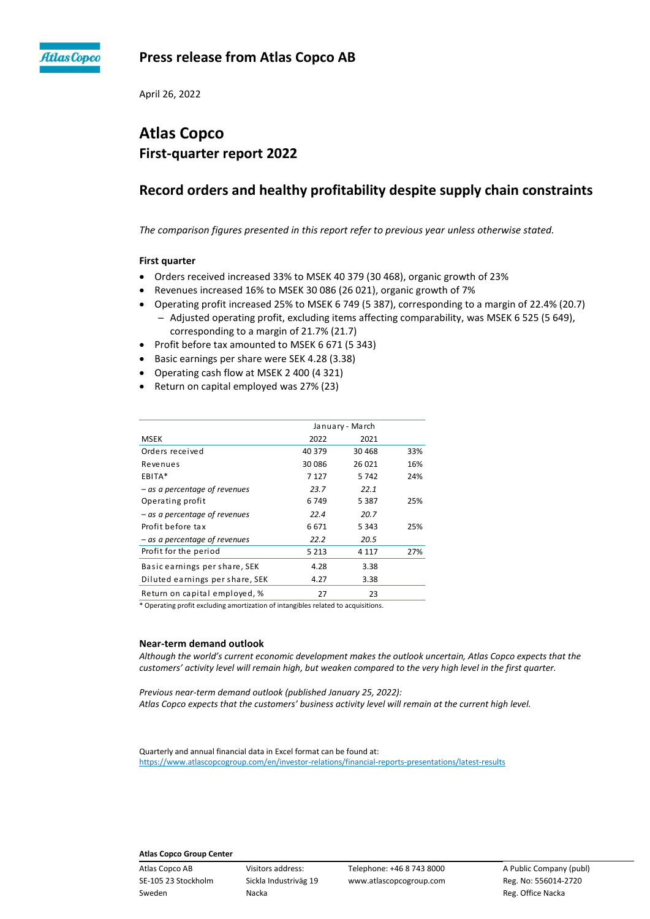

## **Press release from Atlas Copco AB**

April 26, 2022

# **Atlas Copco First-quarter report 2022**

# **Record orders and healthy profitability despite supply chain constraints**

*The comparison figures presented in this report refer to previous year unless otherwise stated.*

## **First quarter**

- Orders received increased 33% to MSEK 40 379 (30 468), organic growth of 23%
- Revenues increased 16% to MSEK 30 086 (26 021), organic growth of 7%
- Operating profit increased 25% to MSEK 6 749 (5 387), corresponding to a margin of 22.4% (20.7) - Adjusted operating profit, excluding items affecting comparability, was MSEK 6 525 (5 649), corresponding to a margin of 21.7% (21.7)
- Profit before tax amounted to MSEK 6 671 (5 343)
- Basic earnings per share were SEK 4.28 (3.38)
- Operating cash flow at MSEK 2 400 (4 321)
- Return on capital employed was 27% (23)

|                                 | January - March |         |     |  |
|---------------------------------|-----------------|---------|-----|--|
| <b>MSEK</b>                     | 2022            | 2021    |     |  |
| Orders received                 | 40 379          | 30 4 68 | 33% |  |
| Revenues                        | 30 0 86         | 26 0 21 | 16% |  |
| EBITA*                          | 7 1 2 7         | 5742    | 24% |  |
| – as a percentage of revenues   | 23.7            | 22.1    |     |  |
| Operating profit                | 6749            | 5 3 8 7 | 25% |  |
| – as a percentage of revenues   | 22.4            | 20.7    |     |  |
| Profit before tax               | 6671            | 5 3 4 3 | 25% |  |
| – as a percentage of revenues   | 22.2            | 20.5    |     |  |
| Profit for the period           | 5 2 1 3         | 4 1 1 7 | 27% |  |
| Basic earnings per share, SEK   | 4.28            | 3.38    |     |  |
| Diluted earnings per share, SEK | 4.27            | 3.38    |     |  |
| Return on capital employed, %   | 27              | 23      |     |  |

\* Operating profit excluding amortization of intangibles related to acquisitions.

#### **Near-term demand outlook**

*Although the world's current economic development makes the outlook uncertain, Atlas Copco expects that the customers' activity level will remain high, but weaken compared to the very high level in the first quarter.*

*Previous near-term demand outlook (published January 25, 2022): Atlas Copco expects that the customers' business activity level will remain at the current high level.*

Quarterly and annual financial data in Excel format can be found at: <https://www.atlascopcogroup.com/en/investor-relations/financial-reports-presentations/latest-results>

## **Atlas Copco Group Center**

Sweden **Nacka** Reg. Office Nacka Reg. Office Nacka Reg. Office Nacka Reg. Office Nacka Reg. Office Nacka Reg. Office Nacka Reg. Office Nacka Reg. Office Nacka Reg. Office Nacka Reg. Office Nacka Reg. Office Nacka Reg. Offi

Atlas Copco AB Visitors address: Telephone: +46 8 743 8000 A Public Company (publ) SE-105 23 Stockholm Sickla Industriväg 19 www.atlascopcogroup.com Reg. No: 556014-2720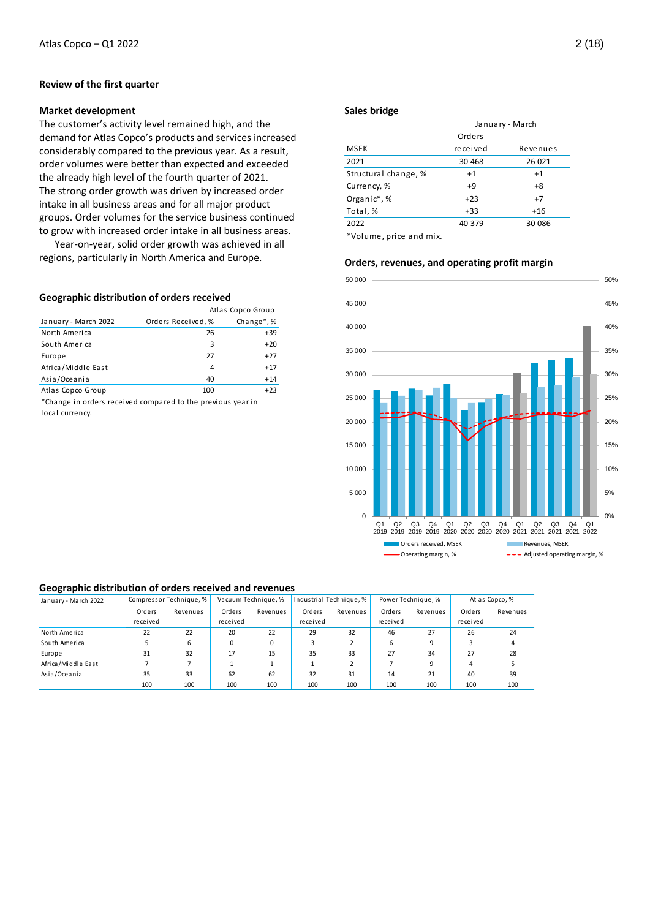## **Review of the first quarter**

## **Market development**

The customer's activity level remained high, and the demand for Atlas Copco's products and services increased considerably compared to the previous year. As a result, order volumes were better than expected and exceeded the already high level of the fourth quarter of 2021. The strong order growth was driven by increased order intake in all business areas and for all major product groups. Order volumes for the service business continued to grow with increased order intake in all business areas.

Year-on-year, solid order growth was achieved in all regions, particularly in North America and Europe.

### **Geographic distribution of orders received**

|                      | Atlas Copco Group  |                         |  |
|----------------------|--------------------|-------------------------|--|
| January - March 2022 | Orders Received, % | Change <sup>*</sup> , % |  |
| North America        | 26                 | $+39$                   |  |
| South America        | 3                  | $+20$                   |  |
| Europe               | 27                 | $+27$                   |  |
| Africa/Middle East   | 4                  | $+17$                   |  |
| Asia/Oceania         | 40                 | $+14$                   |  |
| Atlas Copco Group    | 100                | $+23$                   |  |

\*Change in orders received compared to the previous year in local currency.

## **Sales bridge**

|                      | January - March |          |  |  |
|----------------------|-----------------|----------|--|--|
|                      | Orders          |          |  |  |
| <b>MSEK</b>          | received        | Revenues |  |  |
| 2021                 | 30 4 68         | 26 021   |  |  |
| Structural change, % | $+1$            | $+1$     |  |  |
| Currency, %          | $+9$            | $+8$     |  |  |
| Organic*,%           | $+23$           | $+7$     |  |  |
| Total, %             | $+33$           | $+16$    |  |  |
| 2022                 | 40 379          | 30 086   |  |  |
|                      |                 |          |  |  |

\*Volume, price and mix.

## **Orders, revenues, and operating profit margin**



#### **Geographic distribution of orders received and revenues**

| January - March 2022 |          | Compressor Technique, % |          | Vacuum Technique, % |          | Industrial Technique, % |          | Power Technique, % |          | Atlas Copco, % |
|----------------------|----------|-------------------------|----------|---------------------|----------|-------------------------|----------|--------------------|----------|----------------|
|                      | Orders   | Revenues                | Orders   | Revenues            | Orders   | Revenues                | Orders   | Revenues           | Orders   | Revenues       |
|                      | received |                         | received |                     | received |                         | received |                    | received |                |
| North America        | 22       | 22                      | 20       | 22                  | 29       | 32                      | 46       | 27                 | 26       | 24             |
| South America        |          | 6                       |          | 0                   |          |                         | 6        | 9                  |          |                |
| Europe               | 31       | 32                      | 17       | 15                  | 35       | 33                      | 27       | 34                 | 27       | 28             |
| Africa/Middle East   |          |                         |          |                     |          |                         |          | 9                  | 4        |                |
| Asia/Oceania         | 35       | 33                      | 62       | 62                  | 32       | 31                      | 14       | 21                 | 40       | 39             |
|                      | 100      | 100                     | 100      | 100                 | 100      | 100                     | 100      | 100                | 100      | 100            |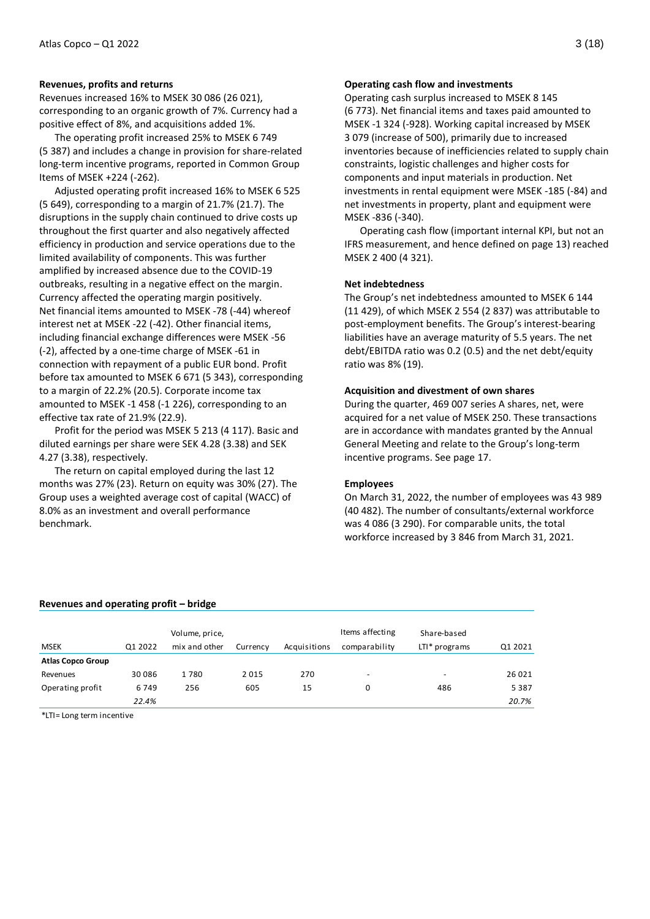#### **Revenues, profits and returns**

Revenues increased 16% to MSEK 30 086 (26 021), corresponding to an organic growth of 7%. Currency had a positive effect of 8%, and acquisitions added 1%.

The operating profit increased 25% to MSEK 6 749 (5 387) and includes a change in provision for share-related long-term incentive programs, reported in Common Group Items of MSEK +224 (-262).

Adjusted operating profit increased 16% to MSEK 6 525 (5 649), corresponding to a margin of 21.7% (21.7). The disruptions in the supply chain continued to drive costs up throughout the first quarter and also negatively affected efficiency in production and service operations due to the limited availability of components. This was further amplified by increased absence due to the COVID-19 outbreaks, resulting in a negative effect on the margin. Currency affected the operating margin positively. Net financial items amounted to MSEK -78 (-44) whereof interest net at MSEK -22 (-42). Other financial items, including financial exchange differences were MSEK -56 (-2), affected by a one-time charge of MSEK -61 in connection with repayment of a public EUR bond. Profit before tax amounted to MSEK 6 671 (5 343), corresponding to a margin of 22.2% (20.5). Corporate income tax amounted to MSEK -1 458 (-1 226), corresponding to an effective tax rate of 21.9% (22.9).

Profit for the period was MSEK 5 213 (4 117). Basic and diluted earnings per share were SEK 4.28 (3.38) and SEK 4.27 (3.38), respectively.

The return on capital employed during the last 12 months was 27% (23). Return on equity was 30% (27). The Group uses a weighted average cost of capital (WACC) of 8.0% as an investment and overall performance benchmark.

## **Operating cash flow and investments**

Operating cash surplus increased to MSEK 8 145 (6 773). Net financial items and taxes paid amounted to MSEK -1 324 (-928). Working capital increased by MSEK 3 079 (increase of 500), primarily due to increased inventories because of inefficiencies related to supply chain constraints, logistic challenges and higher costs for components and input materials in production. Net investments in rental equipment were MSEK -185 (-84) and net investments in property, plant and equipment were MSEK -836 (-340).

Operating cash flow (important internal KPI, but not an IFRS measurement, and hence defined on page 13) reached MSEK 2 400 (4 321).

### **Net indebtedness**

The Group's net indebtedness amounted to MSEK 6 144 (11 429), of which MSEK 2 554 (2 837) was attributable to post-employment benefits. The Group's interest-bearing liabilities have an average maturity of 5.5 years. The net debt/EBITDA ratio was 0.2 (0.5) and the net debt/equity ratio was 8% (19).

### **Acquisition and divestment of own shares**

During the quarter, 469 007 series A shares, net, were acquired for a net value of MSEK 250. These transactions are in accordance with mandates granted by the Annual General Meeting and relate to the Group's long-term incentive programs. See page 17.

### **Employees**

On March 31, 2022, the number of employees was 43 989 (40 482). The number of consultants/external workforce was 4 086 (3 290). For comparable units, the total workforce increased by 3 846 from March 31, 2021.

#### **Revenues and operating profit – bridge**

| <b>MSEK</b>              | Q1 2022 | Volume, price,<br>mix and other | Currency | Acquisitions | Items affecting<br>comparability | Share-based<br>$LTI* programs$ | Q1 2021 |
|--------------------------|---------|---------------------------------|----------|--------------|----------------------------------|--------------------------------|---------|
| <b>Atlas Copco Group</b> |         |                                 |          |              |                                  |                                |         |
| Revenues                 | 30 086  | 1780                            | 2015     | 270          | ۰                                | -                              | 26 0 21 |
| Operating profit         | 6749    | 256                             | 605      | 15           | 0                                | 486                            | 5 3 8 7 |
|                          | 22.4%   |                                 |          |              |                                  |                                | 20.7%   |

\*LTI= Long term incentive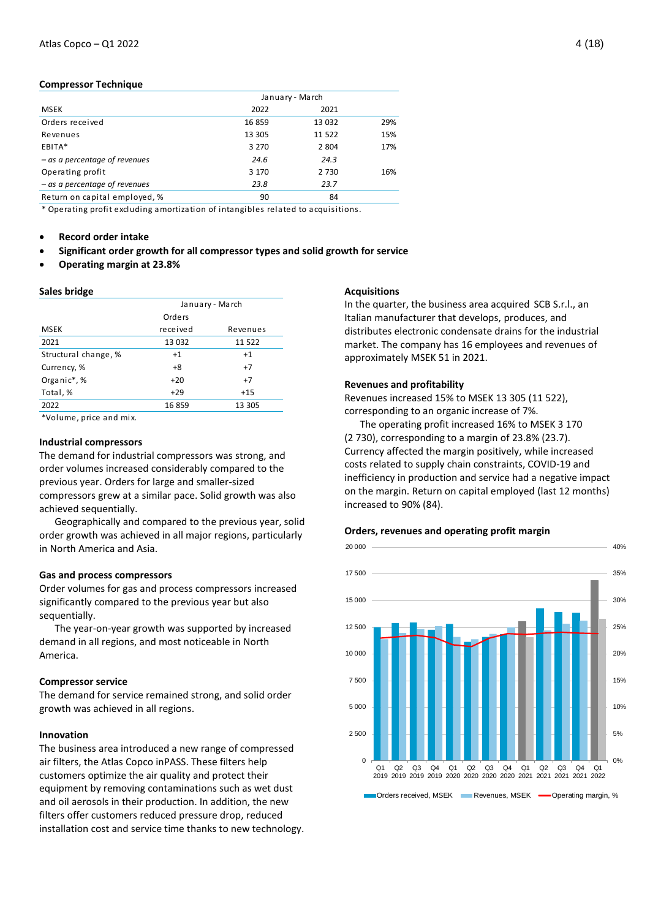## **Compressor Technique**

|                                 | January - March |         |     |
|---------------------------------|-----------------|---------|-----|
| <b>MSEK</b>                     | 2022            | 2021    |     |
| Orders received                 | 16859           | 13 0 32 | 29% |
| Revenues                        | 13 305          | 11 522  | 15% |
| EBITA*                          | 3 2 7 0         | 2 8 0 4 | 17% |
| $-$ as a percentage of revenues | 24.6            | 24.3    |     |
| Operating profit                | 3 1 7 0         | 2 7 3 0 | 16% |
| $-$ as a percentage of revenues | 23.8            | 23.7    |     |
| Return on capital employed, %   | 90              | 84      |     |

\* Operating profit excluding amortization of intangibles related to acquisitions.

- **Record order intake**
- **Significant order growth for all compressor types and solid growth for service**
- **Operating margin at 23.8%**

#### **Sales bridge**

|                                                                                 | January - March |          |  |  |
|---------------------------------------------------------------------------------|-----------------|----------|--|--|
|                                                                                 | Orders          |          |  |  |
| <b>MSEK</b>                                                                     | received        | Revenues |  |  |
| 2021                                                                            | 13 0 32         | 11 522   |  |  |
| Structural change, %                                                            | $+1$            | $+1$     |  |  |
| Currency, %                                                                     | $+8$            | $+7$     |  |  |
| Organic*,%                                                                      | $+20$           | $+7$     |  |  |
| Total, %                                                                        | $+29$           | $+15$    |  |  |
| 2022                                                                            | 16859           | 13 305   |  |  |
| $\sim$ $\sim$ $\sim$ $\sim$ $\sim$ $\sim$<br>$\sim$ $\sim$ $\sim$ $\sim$ $\sim$ |                 |          |  |  |

\*Volume, price and mix.

## **Industrial compressors**

The demand for industrial compressors was strong, and order volumes increased considerably compared to the previous year. Orders for large and smaller-sized compressors grew at a similar pace. Solid growth was also achieved sequentially.

Geographically and compared to the previous year, solid order growth was achieved in all major regions, particularly in North America and Asia.

#### **Gas and process compressors**

Order volumes for gas and process compressors increased significantly compared to the previous year but also sequentially.

The year-on-year growth was supported by increased demand in all regions, and most noticeable in North America.

#### **Compressor service**

The demand for service remained strong, and solid order growth was achieved in all regions.

## **Innovation**

The business area introduced a new range of compressed air filters, the Atlas Copco inPASS. These filters help customers optimize the air quality and protect their equipment by removing contaminations such as wet dust and oil aerosols in their production. In addition, the new filters offer customers reduced pressure drop, reduced installation cost and service time thanks to new technology.

### **Acquisitions**

In the quarter, the business area acquired SCB S.r.l., an Italian manufacturer that develops, produces, and distributes electronic condensate drains for the industrial market. The company has 16 employees and revenues of approximately MSEK 51 in 2021.

### **Revenues and profitability**

Revenues increased 15% to MSEK 13 305 (11 522), corresponding to an organic increase of 7%.

The operating profit increased 16% to MSEK 3 170 (2 730), corresponding to a margin of 23.8% (23.7). Currency affected the margin positively, while increased costs related to supply chain constraints, COVID-19 and inefficiency in production and service had a negative impact on the margin. Return on capital employed (last 12 months) increased to 90% (84).

## **Orders, revenues and operating profit margin**

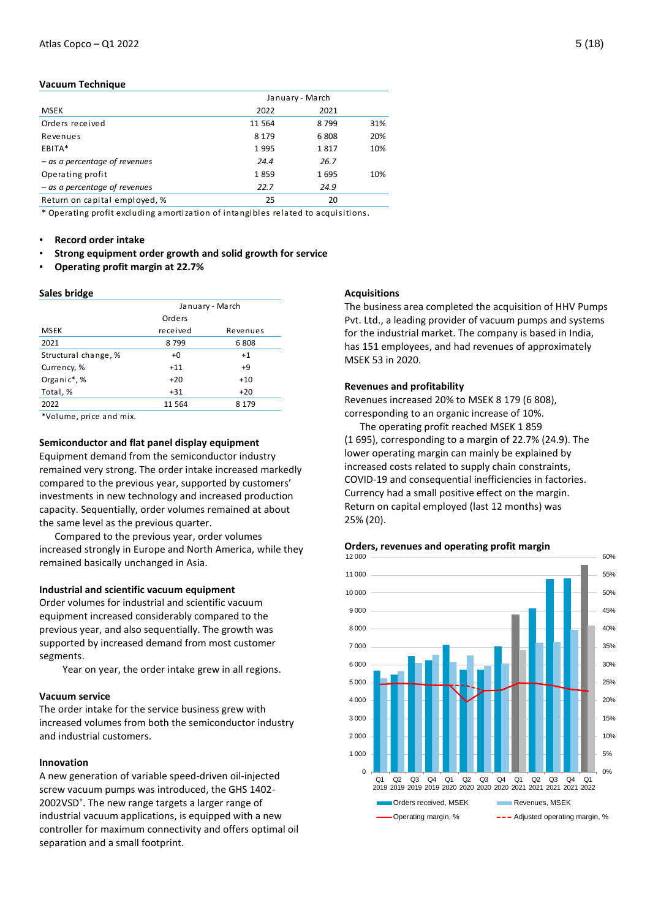## **Vacuum Technique**

|                                 | January - March |      |     |
|---------------------------------|-----------------|------|-----|
| <b>MSEK</b>                     | 2022            | 2021 |     |
| Orders received                 | 11 5 64         | 8799 | 31% |
| Revenues                        | 8 1 7 9         | 6808 | 20% |
| EBITA*                          | 1995            | 1817 | 10% |
| $-$ as a percentage of revenues | 24.4            | 26.7 |     |
| Operating profit                | 1859            | 1695 | 10% |
| - as a percentage of revenues   | 22.7            | 24.9 |     |
| Return on capital employed, %   | 25              | 20   |     |

\* Operating profit excluding amortization of intangibles related to acquisitions.

- **Record order intake**
- **Strong equipment order growth and solid growth for service**
- **Operating profit margin at 22.7%**

### **Sales bridge**

|                      | January - March |          |  |  |
|----------------------|-----------------|----------|--|--|
|                      | Orders          |          |  |  |
| <b>MSEK</b>          | received        | Revenues |  |  |
| 2021                 | 8799            | 6808     |  |  |
| Structural change, % | $+0$            | $+1$     |  |  |
| Currency, %          | $+11$           | $+9$     |  |  |
| Organic*,%           | $+20$           | $+10$    |  |  |
| Total, %             | $+31$           | $+20$    |  |  |
| 2022                 | 11 564          | 8 1 7 9  |  |  |
|                      |                 |          |  |  |

\*Volume, price and mix.

## **Semiconductor and flat panel display equipment**

Equipment demand from the semiconductor industry remained very strong. The order intake increased markedly compared to the previous year, supported by customers' investments in new technology and increased production capacity. Sequentially, order volumes remained at about the same level as the previous quarter.

Compared to the previous year, order volumes increased strongly in Europe and North America, while they remained basically unchanged in Asia.

### **Industrial and scientific vacuum equipment**

Order volumes for industrial and scientific vacuum equipment increased considerably compared to the previous year, and also sequentially. The growth was supported by increased demand from most customer segments.

Year on year, the order intake grew in all regions.

#### **Vacuum service**

The order intake for the service business grew with increased volumes from both the semiconductor industry and industrial customers.

### **Innovation**

A new generation of variable speed-driven oil-injected screw vacuum pumps was introduced, the GHS 1402- 2002VSD<sup>+</sup>. The new range targets a larger range of industrial vacuum applications, is equipped with a new controller for maximum connectivity and offers optimal oil separation and a small footprint.

### **Acquisitions**

The business area completed the acquisition of HHV Pumps Pvt. Ltd., a leading provider of vacuum pumps and systems for the industrial market. The company is based in India, has 151 employees, and had revenues of approximately MSEK 53 in 2020.

## **Revenues and profitability**

Revenues increased 20% to MSEK 8 179 (6 808), corresponding to an organic increase of 10%.

The operating profit reached MSEK 1 859 (1 695), corresponding to a margin of 22.7% (24.9). The lower operating margin can mainly be explained by increased costs related to supply chain constraints, COVID-19 and consequential inefficiencies in factories. Currency had a small positive effect on the margin. Return on capital employed (last 12 months) was 25% (20).



## **Orders, revenues and operating profit margin**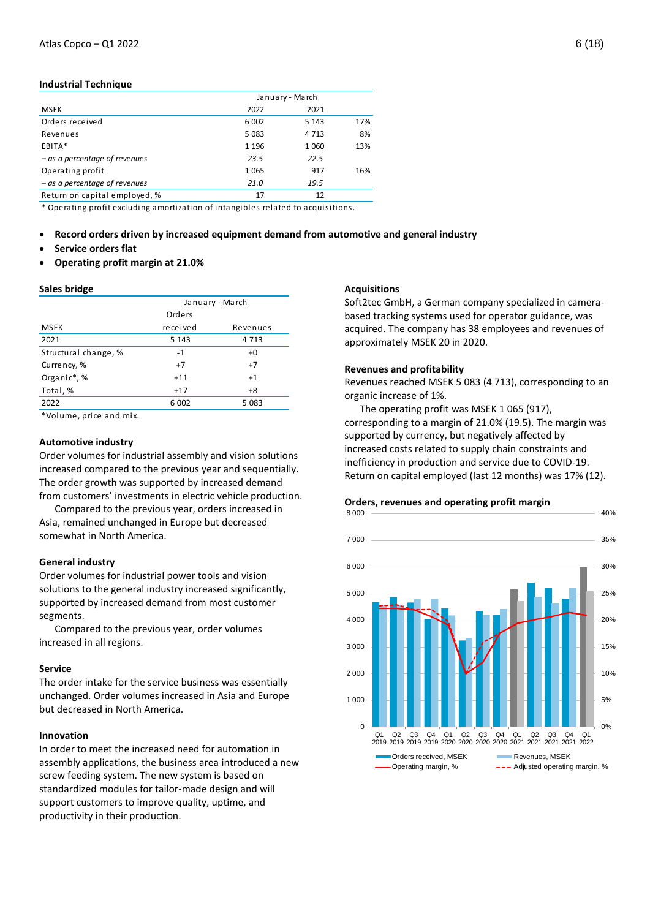#### **Industrial Technique**

|                                 | January - March |         |     |
|---------------------------------|-----------------|---------|-----|
| <b>MSEK</b>                     | 2022            | 2021    |     |
| Orders received                 | 6 0 0 2         | 5 1 4 3 | 17% |
| Revenues                        | 5 0 8 3         | 4 7 1 3 | 8%  |
| EBITA*                          | 1 1 9 6         | 1 0 6 0 | 13% |
| - as a percentage of revenues   | 23.5            | 22.5    |     |
| Operating profit                | 1 0 6 5         | 917     | 16% |
| $-$ as a percentage of revenues | 21.0            | 19.5    |     |
| Return on capital employed, %   | 17              | 12      |     |

\* Operating profit excluding amortization of intangibles related to acquisitions.

- **Record orders driven by increased equipment demand from automotive and general industry**
- **Service orders flat**
- **Operating profit margin at 21.0%**

#### **Sales bridge**

|                      | January - March |          |  |  |
|----------------------|-----------------|----------|--|--|
|                      | Orders          |          |  |  |
| <b>MSEK</b>          | received        | Revenues |  |  |
| 2021                 | 5 1 4 3         | 4 7 1 3  |  |  |
| Structural change, % | $-1$            | $+0$     |  |  |
| Currency, %          | $+7$            | $+7$     |  |  |
| Organic*,%           | $+11$           | $+1$     |  |  |
| Total, %             | $+17$           | $+8$     |  |  |
| 2022                 | 6 0 02          | 5 0 8 3  |  |  |
| $\mathbf{r}$<br>. .  |                 |          |  |  |

\*Volume, price and mix.

#### **Automotive industry**

Order volumes for industrial assembly and vision solutions increased compared to the previous year and sequentially. The order growth was supported by increased demand from customers' investments in electric vehicle production.

Compared to the previous year, orders increased in Asia, remained unchanged in Europe but decreased somewhat in North America.

#### **General industry**

Order volumes for industrial power tools and vision solutions to the general industry increased significantly, supported by increased demand from most customer segments.

Compared to the previous year, order volumes increased in all regions.

#### **Service**

The order intake for the service business was essentially unchanged. Order volumes increased in Asia and Europe but decreased in North America.

### **Innovation**

In order to meet the increased need for automation in assembly applications, the business area introduced a new screw feeding system. The new system is based on standardized modules for tailor-made design and will support customers to improve quality, uptime, and productivity in their production.

#### **Acquisitions**

Soft2tec GmbH, a German company specialized in camerabased tracking systems used for operator guidance, was acquired. The company has 38 employees and revenues of approximately MSEK 20 in 2020.

## **Revenues and profitability**

Revenues reached MSEK 5 083 (4 713), corresponding to an organic increase of 1%.

The operating profit was MSEK 1 065 (917), corresponding to a margin of 21.0% (19.5). The margin was supported by currency, but negatively affected by increased costs related to supply chain constraints and inefficiency in production and service due to COVID-19. Return on capital employed (last 12 months) was 17% (12).

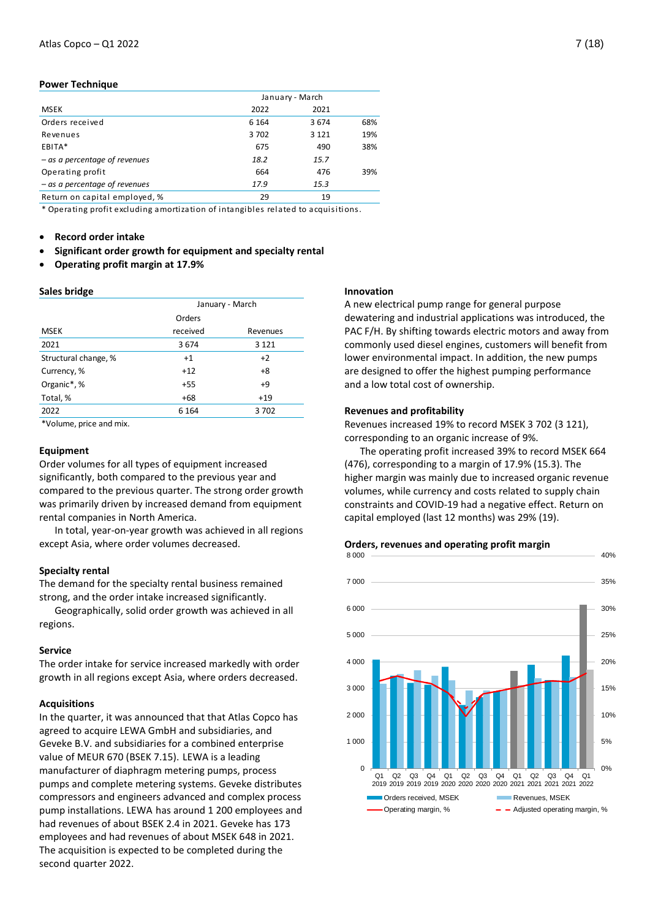## **Power Technique**

|                                 | January - March |         |     |  |
|---------------------------------|-----------------|---------|-----|--|
| <b>MSEK</b>                     | 2022            | 2021    |     |  |
| Orders received                 | 6 1 6 4         | 3 6 7 4 | 68% |  |
| Revenues                        | 3702            | 3 1 2 1 | 19% |  |
| EBITA*                          | 675             | 490     | 38% |  |
| - as a percentage of revenues   | 18.2            | 15.7    |     |  |
| Operating profit                | 664             | 476     | 39% |  |
| $-$ as a percentage of revenues | 17.9            | 15.3    |     |  |
| Return on capital employed, %   | 29              | 19      |     |  |

\* Operating profit excluding amortization of intangibles related to acquisitions.

- **Record order intake**
- **Significant order growth for equipment and specialty rental**
- **Operating profit margin at 17.9%**

## **Sales bridge**

|                      | January - March |          |  |  |  |
|----------------------|-----------------|----------|--|--|--|
|                      | Orders          |          |  |  |  |
| <b>MSEK</b>          | received        | Revenues |  |  |  |
| 2021                 | 3674            | 3 1 2 1  |  |  |  |
| Structural change, % | $+1$            | $+2$     |  |  |  |
| Currency, %          | $+12$           | $+8$     |  |  |  |
| Organic*,%           | $+55$           | $+9$     |  |  |  |
| Total, %             | $+68$           | $+19$    |  |  |  |
| 2022                 | 6 1 6 4         | 3702     |  |  |  |

\*Volume, price and mix.

## **Equipment**

Order volumes for all types of equipment increased significantly, both compared to the previous year and compared to the previous quarter. The strong order growth was primarily driven by increased demand from equipment rental companies in North America.

In total, year-on-year growth was achieved in all regions except Asia, where order volumes decreased.

## **Specialty rental**

The demand for the specialty rental business remained strong, and the order intake increased significantly.

Geographically, solid order growth was achieved in all regions.

## **Service**

The order intake for service increased markedly with order growth in all regions except Asia, where orders decreased.

## **Acquisitions**

In the quarter, it was announced that that Atlas Copco has agreed to acquire LEWA GmbH and subsidiaries, and Geveke B.V. and subsidiaries for a combined enterprise value of MEUR 670 (BSEK 7.15). LEWA is a leading manufacturer of diaphragm metering pumps, process pumps and complete metering systems. Geveke distributes compressors and engineers advanced and complex process pump installations. LEWA has around 1 200 employees and had revenues of about BSEK 2.4 in 2021. Geveke has 173 employees and had revenues of about MSEK 648 in 2021. The acquisition is expected to be completed during the second quarter 2022.

### **Innovation**

A new electrical pump range for general purpose dewatering and industrial applications was introduced, the PAC F/H. By shifting towards electric motors and away from commonly used diesel engines, customers will benefit from lower environmental impact. In addition, the new pumps are designed to offer the highest pumping performance and a low total cost of ownership.

## **Revenues and profitability**

Revenues increased 19% to record MSEK 3 702 (3 121), corresponding to an organic increase of 9%.

The operating profit increased 39% to record MSEK 664 (476), corresponding to a margin of 17.9% (15.3). The higher margin was mainly due to increased organic revenue volumes, while currency and costs related to supply chain constraints and COVID-19 had a negative effect. Return on capital employed (last 12 months) was 29% (19).



## **Orders, revenues and operating profit margin**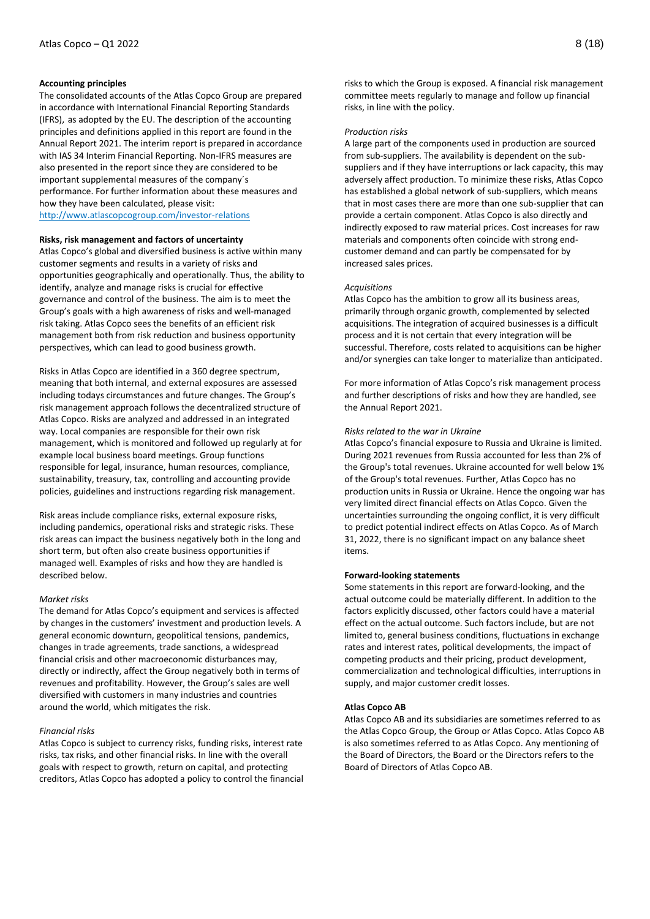## **Accounting principles**

The consolidated accounts of the Atlas Copco Group are prepared in accordance with International Financial Reporting Standards (IFRS), as adopted by the EU. The description of the accounting principles and definitions applied in this report are found in the Annual Report 2021. The interim report is prepared in accordance with IAS 34 Interim Financial Reporting. Non-IFRS measures are also presented in the report since they are considered to be important supplemental measures of the company´s performance. For further information about these measures and how they have been calculated, please visit: <http://www.atlascopcogroup.com/investor-relations>

#### **Risks, risk management and factors of uncertainty**

Atlas Copco's global and diversified business is active within many customer segments and results in a variety of risks and opportunities geographically and operationally. Thus, the ability to identify, analyze and manage risks is crucial for effective governance and control of the business. The aim is to meet the Group's goals with a high awareness of risks and well-managed risk taking. Atlas Copco sees the benefits of an efficient risk management both from risk reduction and business opportunity perspectives, which can lead to good business growth.

Risks in Atlas Copco are identified in a 360 degree spectrum, meaning that both internal, and external exposures are assessed including todays circumstances and future changes. The Group's risk management approach follows the decentralized structure of Atlas Copco. Risks are analyzed and addressed in an integrated way. Local companies are responsible for their own risk management, which is monitored and followed up regularly at for example local business board meetings. Group functions responsible for legal, insurance, human resources, compliance, sustainability, treasury, tax, controlling and accounting provide policies, guidelines and instructions regarding risk management.

Risk areas include compliance risks, external exposure risks, including pandemics, operational risks and strategic risks. These risk areas can impact the business negatively both in the long and short term, but often also create business opportunities if managed well. Examples of risks and how they are handled is described below.

#### *Market risks*

The demand for Atlas Copco's equipment and services is affected by changes in the customers' investment and production levels. A general economic downturn, geopolitical tensions, pandemics, changes in trade agreements, trade sanctions, a widespread financial crisis and other macroeconomic disturbances may, directly or indirectly, affect the Group negatively both in terms of revenues and profitability. However, the Group's sales are well diversified with customers in many industries and countries around the world, which mitigates the risk.

#### *Financial risks*

Atlas Copco is subject to currency risks, funding risks, interest rate risks, tax risks, and other financial risks. In line with the overall goals with respect to growth, return on capital, and protecting creditors, Atlas Copco has adopted a policy to control the financial risks to which the Group is exposed. A financial risk management committee meets regularly to manage and follow up financial risks, in line with the policy.

#### *Production risks*

A large part of the components used in production are sourced from sub-suppliers. The availability is dependent on the subsuppliers and if they have interruptions or lack capacity, this may adversely affect production. To minimize these risks, Atlas Copco has established a global network of sub-suppliers, which means that in most cases there are more than one sub-supplier that can provide a certain component. Atlas Copco is also directly and indirectly exposed to raw material prices. Cost increases for raw materials and components often coincide with strong endcustomer demand and can partly be compensated for by increased sales prices.

#### *Acquisitions*

Atlas Copco has the ambition to grow all its business areas, primarily through organic growth, complemented by selected acquisitions. The integration of acquired businesses is a difficult process and it is not certain that every integration will be successful. Therefore, costs related to acquisitions can be higher and/or synergies can take longer to materialize than anticipated.

For more information of Atlas Copco's risk management process and further descriptions of risks and how they are handled, see the Annual Report 2021.

### *Risks related to the war in Ukraine*

Atlas Copco's financial exposure to Russia and Ukraine is limited. During 2021 revenues from Russia accounted for less than 2% of the Group's total revenues. Ukraine accounted for well below 1% of the Group's total revenues. Further, Atlas Copco has no production units in Russia or Ukraine. Hence the ongoing war has very limited direct financial effects on Atlas Copco. Given the uncertainties surrounding the ongoing conflict, it is very difficult to predict potential indirect effects on Atlas Copco. As of March 31, 2022, there is no significant impact on any balance sheet items.

#### **Forward-looking statements**

Some statements in this report are forward-looking, and the actual outcome could be materially different. In addition to the factors explicitly discussed, other factors could have a material effect on the actual outcome. Such factors include, but are not limited to, general business conditions, fluctuations in exchange rates and interest rates, political developments, the impact of competing products and their pricing, product development, commercialization and technological difficulties, interruptions in supply, and major customer credit losses.

#### **Atlas Copco AB**

Atlas Copco AB and its subsidiaries are sometimes referred to as the Atlas Copco Group, the Group or Atlas Copco. Atlas Copco AB is also sometimes referred to as Atlas Copco. Any mentioning of the Board of Directors, the Board or the Directors refers to the Board of Directors of Atlas Copco AB.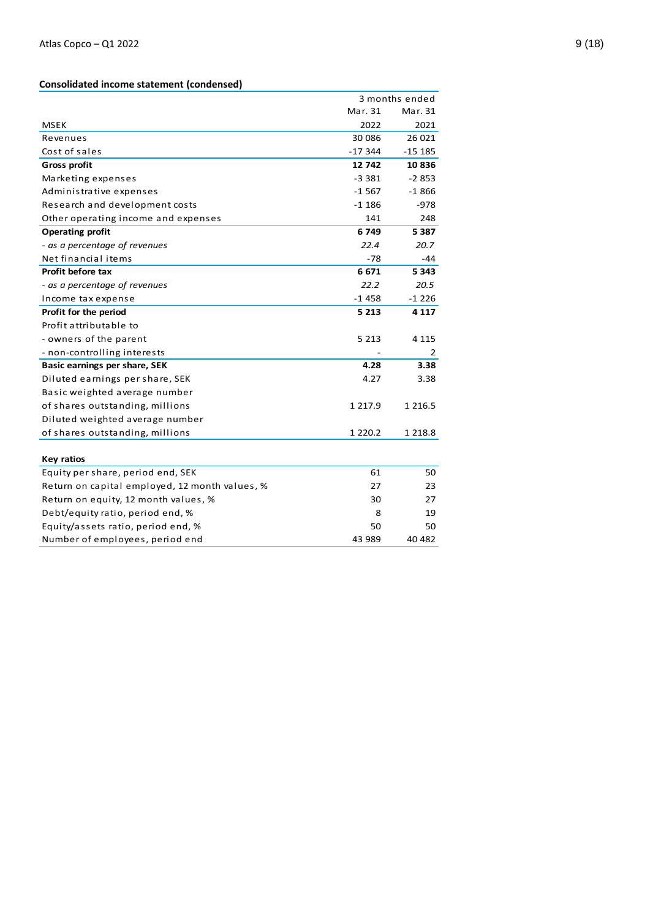## **Consolidated income statement (condensed )**

|                                                |             | 3 months ended |
|------------------------------------------------|-------------|----------------|
|                                                | Mar. 31     | Mar. 31        |
| <b>MSEK</b>                                    | 2022        | 2021           |
| Revenues                                       | 30 086      | 26 021         |
| Cost of sales                                  | $-17344$    | $-15185$       |
| <b>Gross profit</b>                            | 12742       | 10836          |
| Marketing expenses                             | $-3.381$    | $-2853$        |
| Administrative expenses                        | $-1567$     | $-1866$        |
| Research and development costs                 | $-1186$     | $-978$         |
| Other operating income and expenses            | 141         | 248            |
| <b>Operating profit</b>                        | 6 749       | 5 3 8 7        |
| - as a percentage of revenues                  | 22.4        | 20.7           |
| Net financial items                            | $-78$       | -44            |
| Profit before tax                              | 6671        | 5 3 4 3        |
| - as a percentage of revenues                  | 22.2        | 20.5           |
| Income tax expense                             | $-1458$     | $-1226$        |
| Profit for the period                          | 5 2 1 3     | 4 1 1 7        |
| Profit attributable to                         |             |                |
| - owners of the parent                         | 5 2 1 3     | 4 1 1 5        |
| - non-controlling interests                    |             | 2              |
| Basic earnings per share, SEK                  | 4.28        | 3.38           |
| Diluted earnings per share, SEK                | 4.27        | 3.38           |
| Basic weighted average number                  |             |                |
| of shares outstanding, millions                | 1 2 1 7 . 9 | 1 2 1 6 . 5    |
| Diluted weighted average number                |             |                |
| of shares outstanding, millions                | 1 2 2 0 . 2 | 1 2 1 8 . 8    |
|                                                |             |                |
| <b>Key ratios</b>                              |             |                |
| Equity per share, period end, SEK              | 61          | 50             |
| Return on capital employed, 12 month values, % | 27          | 23             |
| Return on equity, 12 month values, %           | 30          | 27             |
| Debt/equity ratio, period end, %               | 8           | 19             |
| Equity/assets ratio, period end, %             | 50          | 50             |
| Number of employees, period end                | 43 989      | 40 482         |
|                                                |             |                |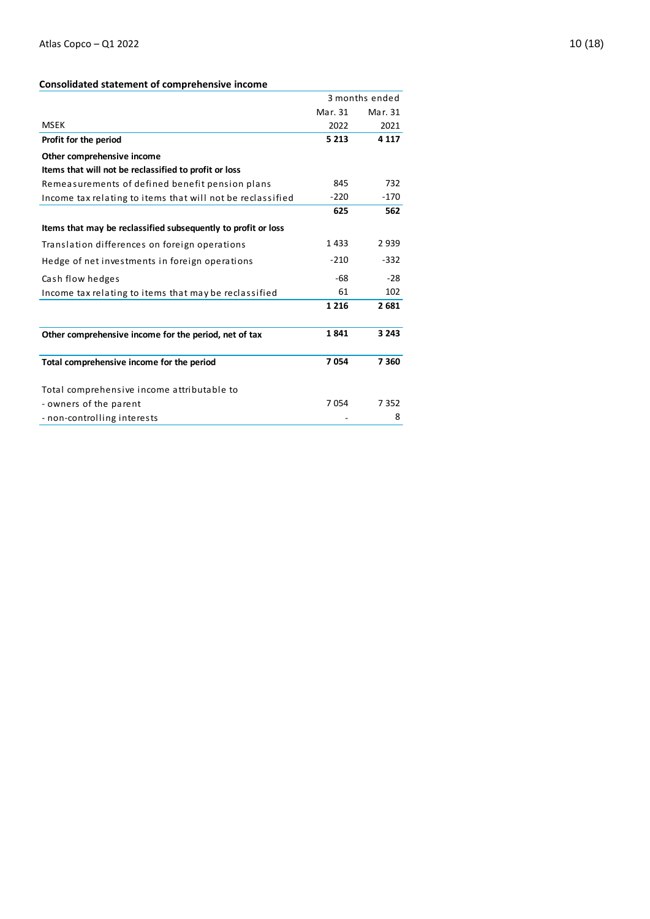## **Consolidated statement of comprehensive income**

|                                                               |         | 3 months ended |
|---------------------------------------------------------------|---------|----------------|
|                                                               | Mar. 31 | Mar. 31        |
| <b>MSEK</b>                                                   | 2022    | 2021           |
| Profit for the period                                         | 5 2 1 3 | 4 1 1 7        |
| Other comprehensive income                                    |         |                |
| Items that will not be reclassified to profit or loss         |         |                |
| Remeasurements of defined benefit pension plans               | 845     | 732            |
| Income tax relating to items that will not be reclassified    | $-220$  | $-170$         |
|                                                               | 625     | 562            |
| Items that may be reclassified subsequently to profit or loss |         |                |
| Translation differences on foreign operations                 | 1433    | 2939           |
| Hedge of net investments in foreign operations                | $-210$  | $-332$         |
| Cash flow hedges                                              | $-68$   | $-28$          |
| Income tax relating to items that may be reclassified         | 61      | 102            |
|                                                               | 1 2 1 6 | 2681           |
| Other comprehensive income for the period, net of tax         | 1841    | 3 2 4 3        |
| Total comprehensive income for the period                     | 7054    | 7360           |
| Total comprehensive income attributable to                    |         |                |
| - owners of the parent                                        | 7054    | 7352           |
| - non-controlling interests                                   |         | 8              |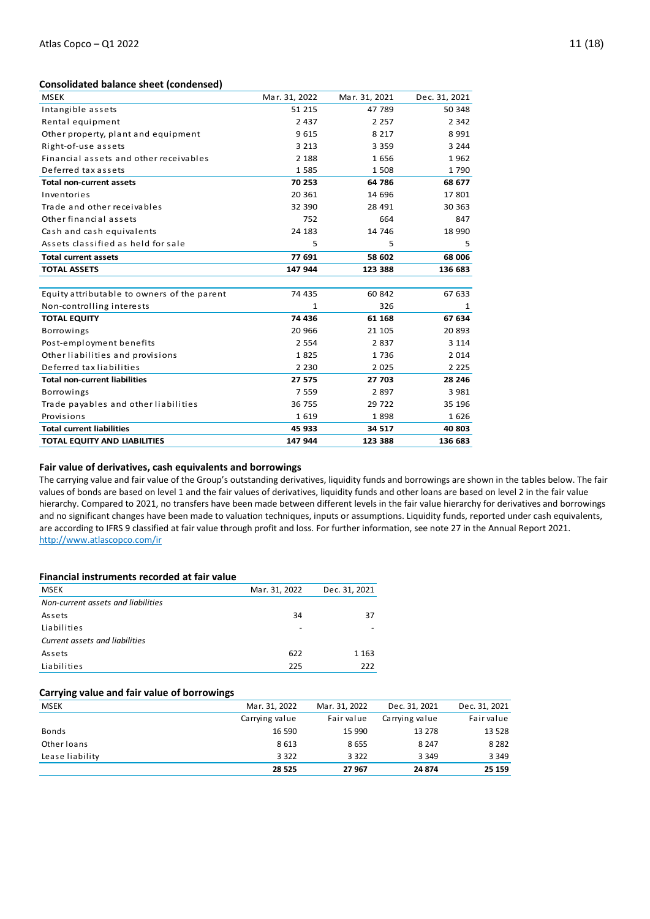## **Consolidated balance sheet (condensed)**

| <b>MSEK</b>                                 | Mar. 31, 2022 | Mar. 31, 2021 | Dec. 31, 2021 |
|---------------------------------------------|---------------|---------------|---------------|
| Intangible assets                           | 51 215        | 47 789        | 50 348        |
| Rental equipment                            | 2 4 3 7       | 2 2 5 7       | 2 3 4 2       |
| Other property, plant and equipment         | 9615          | 8 2 1 7       | 8 9 9 1       |
| Right-of-use assets                         | 3 2 1 3       | 3 3 5 9       | 3 2 4 4       |
| Financial assets and other receivables      | 2 1 8 8       | 1656          | 1962          |
| Deferred tax assets                         | 1585          | 1508          | 1790          |
| <b>Total non-current assets</b>             | 70 253        | 64 786        | 68 677        |
| Inventories                                 | 20 361        | 14 696        | 17801         |
| Trade and other receivables                 | 32 390        | 28 491        | 30 363        |
| Other financial assets                      | 752           | 664           | 847           |
| Cash and cash equivalents                   | 24 183        | 14 746        | 18 990        |
| Assets classified as held for sale          | 5             | 5             | 5             |
| <b>Total current assets</b>                 | 77 691        | 58 602        | 68 006        |
| <b>TOTAL ASSETS</b>                         | 147 944       | 123 388       | 136 683       |
|                                             |               |               |               |
| Equity attributable to owners of the parent | 74 435        | 60 842        | 67 633        |
| Non-controlling interests                   | 1             | 326           | 1             |
| <b>TOTAL EQUITY</b>                         | 74 436        | 61 168        | 67 634        |
| <b>Borrowings</b>                           | 20 966        | 21 105        | 20893         |
| Post-employment benefits                    | 2 5 5 4       | 2837          | 3 1 1 4       |
| Other liabilities and provisions            | 1825          | 1736          | 2014          |
| Deferred tax liabilities                    | 2 2 3 0       | 2025          | 2 2 2 5       |
| <b>Total non-current liabilities</b>        | 27 575        | 27 703        | 28 246        |
| <b>Borrowings</b>                           | 7559          | 2897          | 3 9 8 1       |
| Trade payables and other liabilities        | 36 755        | 29 7 22       | 35 196        |
| Provisions                                  | 1619          | 1898          | 1626          |
| <b>Total current liabilities</b>            | 45 933        | 34 517        | 40 803        |
| TOTAL EQUITY AND LIABILITIES                | 147 944       | 123 388       | 136 683       |

## **Fair value of derivatives, cash equivalents and borrowings**

The carrying value and fair value of the Group's outstanding derivatives, liquidity funds and borrowings are shown in the tables below. The fair values of bonds are based on level 1 and the fair values of derivatives, liquidity funds and other loans are based on level 2 in the fair value hierarchy. Compared to 2021, no transfers have been made between different levels in the fair value hierarchy for derivatives and borrowings and no significant changes have been made to valuation techniques, inputs or assumptions. Liquidity funds, reported under cash equivalents, are according to IFRS 9 classified at fair value through profit and loss. For further information, see note 27 in the Annual Report 2021. <http://www.atlascopco.com/ir>

#### **Financial instruments recorded at fair value**

| <b>MSEK</b>                        | Mar. 31, 2022 | Dec. 31, 2021 |
|------------------------------------|---------------|---------------|
| Non-current assets and liabilities |               |               |
| Assets                             | 34            | 37            |
| Liabilities                        |               |               |
| Current assets and liabilities     |               |               |
| Assets                             | 622           | 1 1 6 3       |
| Liabilities                        | 225           | 222           |

## **Carrying value and fair value of borrowings**

| <b>MSEK</b>     | Mar. 31, 2022  | Mar. 31, 2022 | Dec. 31, 2021  | Dec. 31, 2021 |
|-----------------|----------------|---------------|----------------|---------------|
|                 | Carrying value | Fair value    | Carrying value | Fair value    |
| Bonds           | 16 590         | 15 990        | 13 278         | 13 5 28       |
| Other loans     | 8 6 1 3        | 8655          | 8 2 4 7        | 8 2 8 2       |
| Lease liability | 3 3 2 2        | 3 3 2 2       | 3 3 4 9        | 3 3 4 9       |
|                 | 28 5 25        | 27 967        | 24 874         | 25 159        |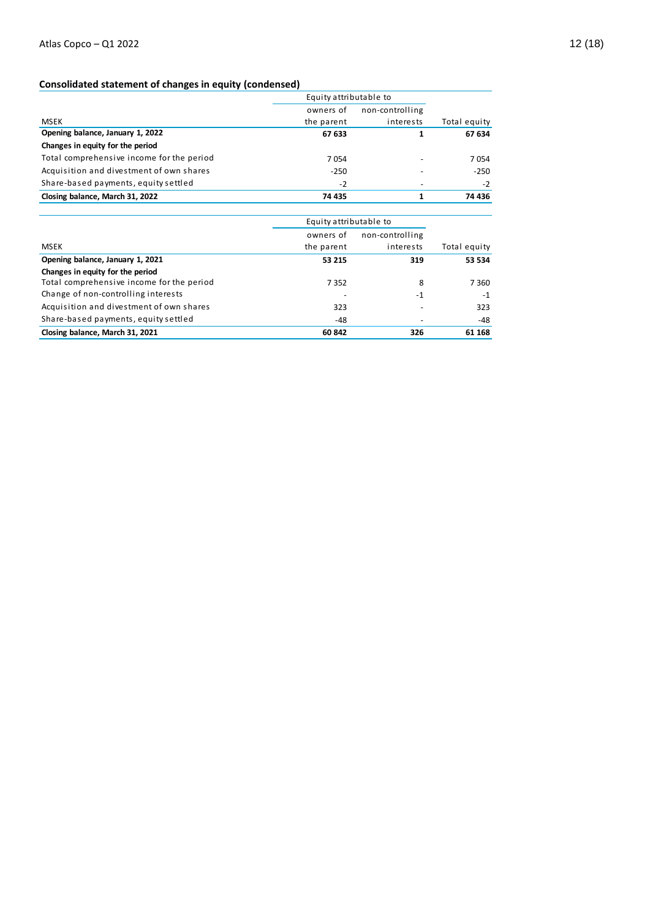## **Consolidated statement of changes in equity (condensed)**

|                                           | Consolidated statement of changes in equity (condensed)<br>Equity attributable to |                 |              |
|-------------------------------------------|-----------------------------------------------------------------------------------|-----------------|--------------|
|                                           | owners of                                                                         | non-controlling |              |
| <b>MSEK</b>                               | the parent                                                                        | interests       | Total equity |
| Opening balance, January 1, 2022          | 67 633                                                                            | 1               | 67 634       |
| Changes in equity for the period          |                                                                                   |                 |              |
| Total comprehensive income for the period | 7054                                                                              |                 | 7054         |
| Acquisition and divestment of own shares  | $-250$                                                                            |                 | $-250$       |
| Share-based payments, equity settled      | $-2$                                                                              |                 | $-2$         |
| Closing balance, March 31, 2022           | 74 435                                                                            | 1               | 74 436       |

| Closing Dalance, March 31, 2022           | 74433                  |                 | 74430        |
|-------------------------------------------|------------------------|-----------------|--------------|
|                                           | Equity attributable to |                 |              |
|                                           | owners of              | non-controlling |              |
| <b>MSEK</b>                               | the parent             | interests       | Total equity |
| Opening balance, January 1, 2021          | 53 215                 | 319             | 53 534       |
| Changes in equity for the period          |                        |                 |              |
| Total comprehensive income for the period | 7 3 5 2                | 8               | 7 3 6 0      |
| Change of non-controlling interests       |                        | $-1$            | $-1$         |
| Acquisition and divestment of own shares  | 323                    |                 | 323          |
| Share-based payments, equity settled      | -48                    |                 | -48          |
| Closing balance, March 31, 2021           | 60 842                 | 326             | 61 168       |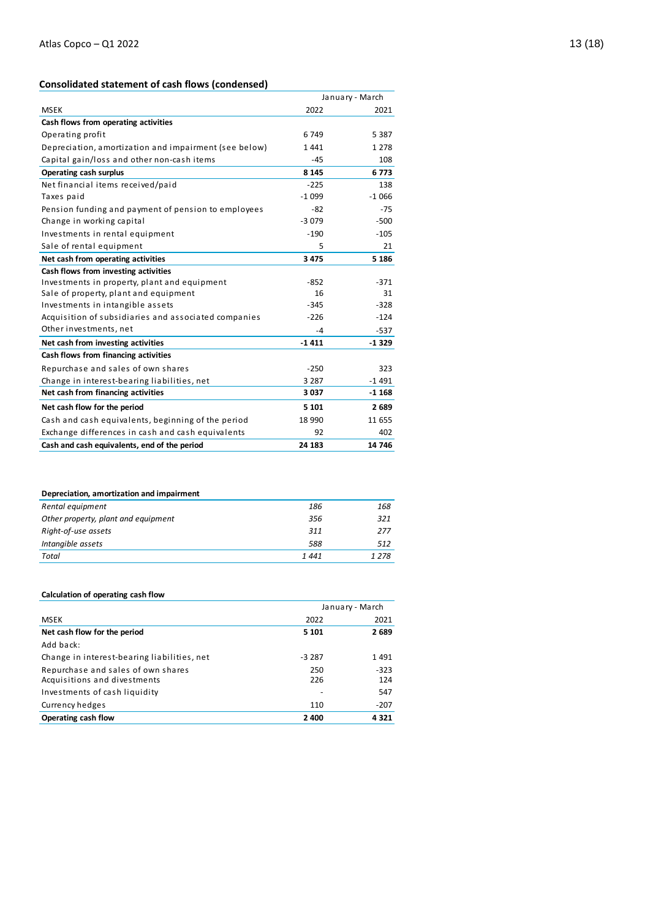## **Consolidated statement of cash flows (condensed)**

|                                                       | January - March |         |  |
|-------------------------------------------------------|-----------------|---------|--|
| <b>MSEK</b>                                           | 2022            | 2021    |  |
| Cash flows from operating activities                  |                 |         |  |
| Operating profit                                      | 6749            | 5 3 8 7 |  |
| Depreciation, amortization and impairment (see below) | 1441            | 1 2 7 8 |  |
| Capital gain/loss and other non-cash items            | $-45$           | 108     |  |
| <b>Operating cash surplus</b>                         | 8 1 4 5         | 6773    |  |
| Net financial items received/paid                     | $-225$          | 138     |  |
| Taxes paid                                            | $-1099$         | $-1066$ |  |
| Pension funding and payment of pension to employees   | $-82$           | $-75$   |  |
| Change in working capital                             | $-3079$         | $-500$  |  |
| Investments in rental equipment                       | $-190$          | $-105$  |  |
| Sale of rental equipment                              | 5               | 21      |  |
| Net cash from operating activities                    | 3 4 7 5         | 5 1 8 6 |  |
| Cash flows from investing activities                  |                 |         |  |
| Investments in property, plant and equipment          | $-852$          | $-371$  |  |
| Sale of property, plant and equipment                 | 16              | 31      |  |
| Investments in intangible assets                      | $-345$          | $-328$  |  |
| Acquisition of subsidiaries and associated companies  | $-226$          | $-124$  |  |
| Other investments, net                                | -4              | $-537$  |  |
| Net cash from investing activities                    | $-1411$         | $-1329$ |  |
| Cash flows from financing activities                  |                 |         |  |
| Repurchase and sales of own shares                    | $-250$          | 323     |  |
| Change in interest-bearing liabilities, net           | 3 2 8 7         | $-1491$ |  |
| Net cash from financing activities                    | 3 0 3 7         | $-1168$ |  |
| Net cash flow for the period                          | 5 1 0 1         | 2689    |  |
| Cash and cash equivalents, beginning of the period    | 18 990          | 11 655  |  |
| Exchange differences in cash and cash equivalents     | 92              | 402     |  |
| Cash and cash equivalents, end of the period          | 24 183          | 14 746  |  |

| Depreciation, amortization and impairment |      |         |
|-------------------------------------------|------|---------|
| Rental equipment                          | 186  | 168     |
| Other property, plant and equipment       | 356  | 321     |
| Right-of-use assets                       | 311  | 277     |
| Intangible assets                         | 588  | 512     |
| Total                                     | 1441 | 1 2 7 8 |
|                                           |      |         |

### **Calculation of operating cash flow**

| Calculation of operating cash now           |         |                 |  |  |  |  |  |
|---------------------------------------------|---------|-----------------|--|--|--|--|--|
|                                             |         | January - March |  |  |  |  |  |
| MSEK                                        | 2022    | 2021            |  |  |  |  |  |
| Net cash flow for the period                | 5 1 0 1 | 2689            |  |  |  |  |  |
| Add back:                                   |         |                 |  |  |  |  |  |
| Change in interest-bearing liabilities, net | $-3287$ | 1491            |  |  |  |  |  |
| Repurchase and sales of own shares          | 250     | $-323$          |  |  |  |  |  |
| Acquisitions and divestments                | 226     | 124             |  |  |  |  |  |
| Investments of cash liquidity               |         | 547             |  |  |  |  |  |
| Currency hedges                             | 110     | $-207$          |  |  |  |  |  |
| Operating cash flow                         | 2 400   | 4321            |  |  |  |  |  |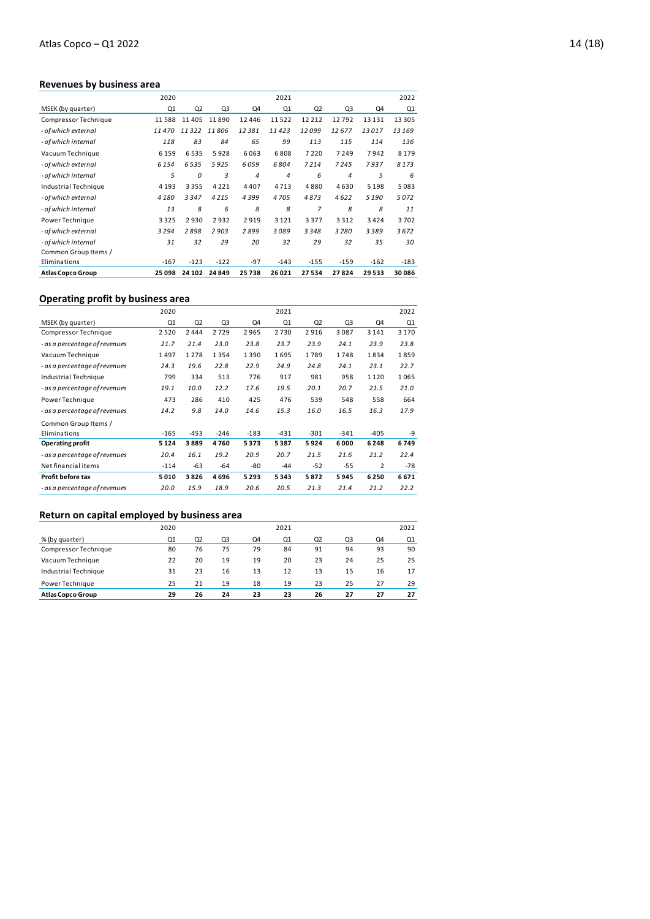## **Revenues by business area**

| <b>Atlas Copco Group</b> | 25 098  | 24 10 2        | 24849  | 25738 | 26 021         | 27534          | 27824  | 29533   | 30086   |
|--------------------------|---------|----------------|--------|-------|----------------|----------------|--------|---------|---------|
| Eliminations             | $-167$  | $-123$         | $-122$ | $-97$ | $-143$         | $-155$         | $-159$ | $-162$  | $-183$  |
| Common Group Items /     |         |                |        |       |                |                |        |         |         |
| - of which internal      | 31      | 32             | 29     | 20    | 32             | 29             | 32     | 35      | 30      |
| - of which external      | 3294    | 2898           | 2903   | 2899  | 3089           | 3348           | 3280   | 3389    | 3672    |
| Power Technique          | 3 3 2 5 | 2930           | 2932   | 2919  | 3 1 2 1        | 3377           | 3312   | 3424    | 3702    |
| - of which internal      | 13      | 8              | 6      | 8     | 8              | $\overline{7}$ | 8      | 8       | 11      |
| - of which external      | 4 1 8 0 | 3347           | 4215   | 4399  | 4705           | 4873           | 4622   | 5 1 9 0 | 5072    |
| Industrial Technique     | 4 1 9 3 | 3355           | 4221   | 4407  | 4713           | 4880           | 4630   | 5 1 9 8 | 5083    |
| - of which internal      | 5       | 0              | 3      | 4     | $\overline{4}$ | 6              | 4      | 5       | 6       |
| - of which external      | 6 1 5 4 | 6535           | 5925   | 6059  | 6804           | 7214           | 7245   | 7937    | 8173    |
| Vacuum Technique         | 6 1 5 9 | 6535           | 5928   | 6063  | 6808           | 7220           | 7249   | 7942    | 8 1 7 9 |
| - of which internal      | 118     | 83             | 84     | 65    | 99             | 113            | 115    | 114     | 136     |
| - of which external      | 11470   | 11322          | 11806  | 12381 | 11423          | 12099          | 12677  | 13017   | 13169   |
| Compressor Technique     | 11588   | 11405          | 11890  | 12446 | 11522          | 12212          | 12792  | 13131   | 13 3 05 |
| MSEK (by quarter)        | Q1      | Q <sub>2</sub> | Q3     | Q4    | Q1             | Q <sub>2</sub> | Q3     | Q4      | Q1      |
|                          | 2020    |                |        |       | 2021           |                |        |         | 2022    |
|                          |         |                |        |       |                |                |        |         |         |

## **Operating profit by business area**

|                               | 2020    |                |        |        | 2021   |                |        |                | 2022    |
|-------------------------------|---------|----------------|--------|--------|--------|----------------|--------|----------------|---------|
| MSEK (by quarter)             | Q1      | Q <sub>2</sub> | Q3     | Q4     | Q1     | Q <sub>2</sub> | Q3     | Q4             | Q1      |
| Compressor Technique          | 2520    | 2444           | 2729   | 2965   | 2730   | 2916           | 3087   | 3 1 4 1        | 3 1 7 0 |
| - as a percentage of revenues | 21.7    | 21.4           | 23.0   | 23.8   | 23.7   | 23.9           | 24.1   | 23.9           | 23.8    |
| Vacuum Technique              | 1497    | 1278           | 1354   | 1390   | 1695   | 1789           | 1748   | 1834           | 1859    |
| - as a percentage of revenues | 24.3    | 19.6           | 22.8   | 22.9   | 24.9   | 24.8           | 24.1   | 23.1           | 22.7    |
| Industrial Technique          | 799     | 334            | 513    | 776    | 917    | 981            | 958    | 1120           | 1065    |
| - as a percentage of revenues | 19.1    | 10.0           | 12.2   | 17.6   | 19.5   | 20.1           | 20.7   | 21.5           | 21.0    |
| Power Technique               | 473     | 286            | 410    | 425    | 476    | 539            | 548    | 558            | 664     |
| - as a percentage of revenues | 14.2    | 9.8            | 14.0   | 14.6   | 15.3   | 16.0           | 16.5   | 16.3           | 17.9    |
| Common Group Items /          |         |                |        |        |        |                |        |                |         |
| Eliminations                  | $-165$  | $-453$         | $-246$ | $-183$ | $-431$ | $-301$         | $-341$ | $-405$         | -9      |
| Operating profit              | 5 1 2 4 | 3889           | 4760   | 5373   | 5387   | 5924           | 6000   | 6248           | 6749    |
| - as a percentage of revenues | 20.4    | 16.1           | 19.2   | 20.9   | 20.7   | 21.5           | 21.6   | 21.2           | 22.4    |
| Net financial items           | $-114$  | $-63$          | -64    | -80    | $-44$  | $-52$          | $-55$  | $\overline{2}$ | $-78$   |
| Profit before tax             | 5010    | 3826           | 4696   | 5293   | 5343   | 5872           | 5945   | 6250           | 6671    |
| - as a percentage of revenues | 20.0    | 15.9           | 18.9   | 20.6   | 20.5   | 21.3           | 21.4   | 21.2           | 22.2    |
|                               |         |                |        |        |        |                |        |                |         |

## **Return on capital employed by business area**

| <b>Atlas Copco Group</b> | 29   | 26             | 24 | 23 | 23   | 26             | 27 | 27 | 27   |
|--------------------------|------|----------------|----|----|------|----------------|----|----|------|
| Power Technique          | 25   | 21             | 19 | 18 | 19   | 23             | 25 | 27 | 29   |
| Industrial Technique     | 31   | 23             | 16 | 13 | 12   | 13             | 15 | 16 | 17   |
| Vacuum Technique         | 22   | 20             | 19 | 19 | 20   | 23             | 24 | 25 | 25   |
| Compressor Technique     | 80   | 76             | 75 | 79 | 84   | 91             | 94 | 93 | 90   |
| % (by quarter)           | Q1   | Q <sub>2</sub> | Q3 | Q4 | Q1   | Q <sub>2</sub> | Q3 | Q4 | Q1   |
|                          | 2020 |                |    |    | 2021 |                |    |    | 2022 |
|                          |      |                |    |    |      |                |    |    |      |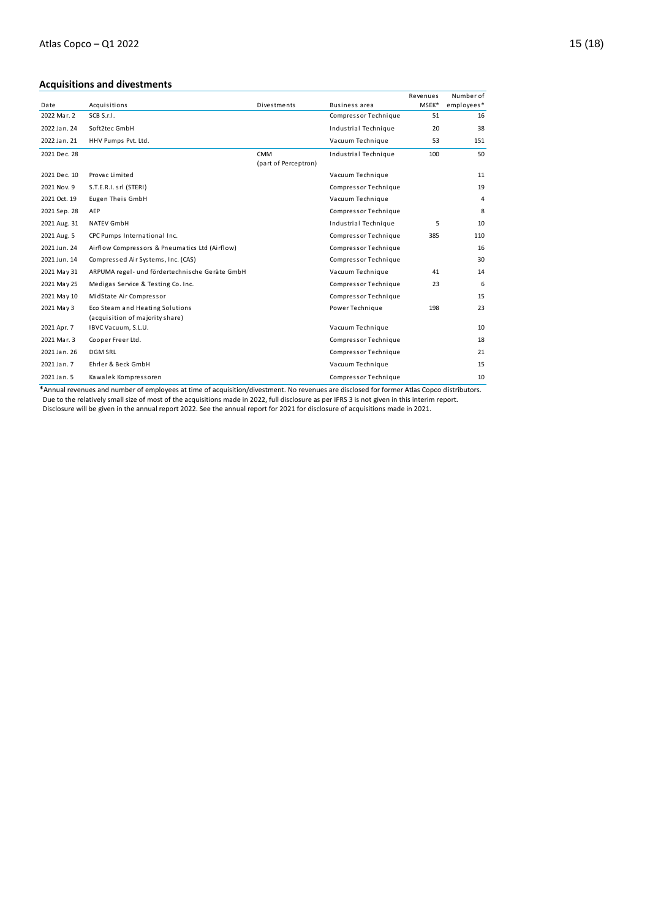## **Acquisitions and divestments**

|              |                                                |                      |                      | Revenues | Number of  |
|--------------|------------------------------------------------|----------------------|----------------------|----------|------------|
| Date         | Acquisitions                                   | Divestments          | <b>Business area</b> | MSEK*    | employees* |
| 2022 Mar. 2  | SCB S.r.I.                                     |                      | Compressor Technique | 51       | 16         |
| 2022 Jan. 24 | Soft2tec GmbH                                  |                      | Industrial Technique | 20       | 38         |
| 2022 Jan. 21 | HHV Pumps Pvt. Ltd.                            |                      | Vacuum Technique     | 53       | 151        |
| 2021 Dec. 28 |                                                | <b>CMM</b>           | Industrial Technique | 100      | 50         |
|              |                                                | (part of Perceptron) |                      |          |            |
| 2021 Dec. 10 | Provac Limited                                 |                      | Vacuum Technique     |          | 11         |
| 2021 Nov. 9  | S.T.E.R.I. srl (STERI)                         |                      | Compressor Technique |          | 19         |
| 2021 Oct. 19 | <b>Eugen Theis GmbH</b>                        |                      | Vacuum Technique     |          | 4          |
| 2021 Sep. 28 | AEP                                            |                      | Compressor Technique |          | 8          |
| 2021 Aug. 31 | <b>NATEV GmbH</b>                              |                      | Industrial Technique | 5        | 10         |
| 2021 Aug. 5  | CPC Pumps International Inc.                   |                      | Compressor Technique | 385      | 110        |
| 2021 Jun. 24 | Airflow Compressors & Pneumatics Ltd (Airflow) |                      | Compressor Technique |          | 16         |
| 2021 Jun. 14 | Compressed Air Systems, Inc. (CAS)             |                      | Compressor Technique |          | 30         |
| 2021 May 31  | ARPUMA regel- und fördertechnische Geräte GmbH |                      | Vacuum Technique     | 41       | 14         |
| 2021 May 25  | Medigas Service & Testing Co. Inc.             |                      | Compressor Technique | 23       | 6          |
| 2021 May 10  | MidState Air Compressor                        |                      | Compressor Technique |          | 15         |
| 2021 May 3   | Eco Steam and Heating Solutions                |                      | Power Technique      | 198      | 23         |
|              | (acquisition of majority share)                |                      |                      |          |            |
| 2021 Apr. 7  | IBVC Vacuum, S.L.U.                            |                      | Vacuum Technique     |          | 10         |
| 2021 Mar. 3  | Cooper Freer Ltd.                              |                      | Compressor Technique |          | 18         |
| 2021 Jan. 26 | <b>DGM SRL</b>                                 |                      | Compressor Technique |          | 21         |
| 2021 Jan. 7  | Ehrler & Beck GmbH                             |                      | Vacuum Technique     |          | 15         |
| 2021 Jan. 5  | Kawalek Kompressoren                           |                      | Compressor Technique |          | 10         |

\*Annual revenues and number of employees at time of acquisition/divestment. No revenues are disclosed for former Atlas Copco distributors. Due to the relatively small size of most of the acquisitions made in 2022, full disclosure as per IFRS 3 is not given in this interim report. Disclosure will be given in the annual report 2022. See the annual report for 2021 for disclosure of acquisitions made in 2021.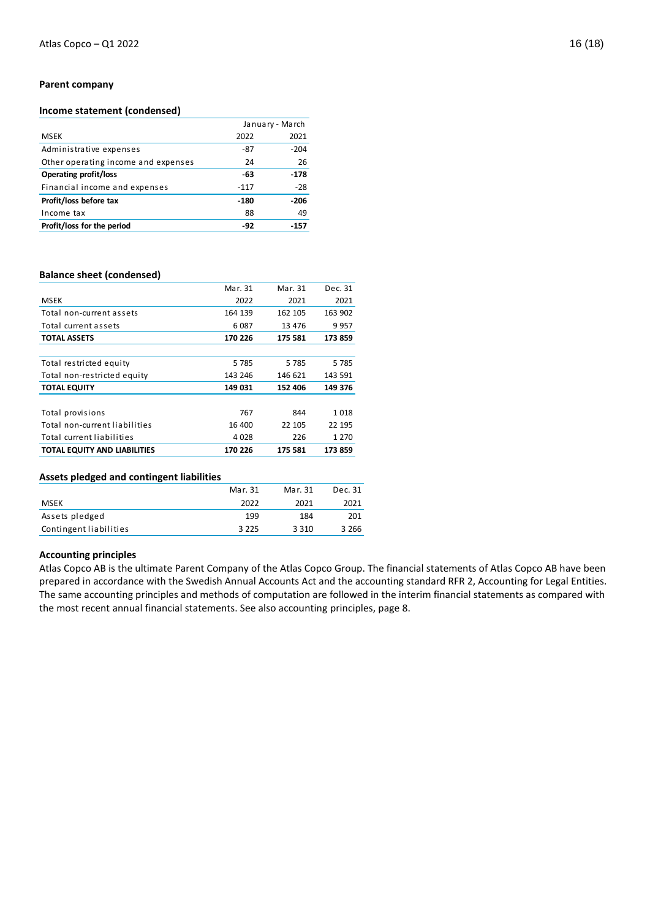### **Parent company**

## **Income statement (condensed)**

|                                     | January - March |        |
|-------------------------------------|-----------------|--------|
| <b>MSEK</b>                         | 2022            | 2021   |
| Administrative expenses             | -87             | $-204$ |
| Other operating income and expenses | 24              | 26     |
| <b>Operating profit/loss</b>        | -63             | $-178$ |
| Financial income and expenses       | $-117$          | $-28$  |
| Profit/loss before tax              | $-180$          | $-206$ |
| Income tax                          | 88              | 49     |
| Profit/loss for the period          | -92             | $-157$ |

### **Balance sheet (condensed)**

|                                     | Mar. 31 | Mar. 31  | Dec. 31 |
|-------------------------------------|---------|----------|---------|
| <b>MSEK</b>                         | 2022    | 2021     | 2021    |
| Total non-current assets            | 164 139 | 162 105  | 163 902 |
| Total current assets                | 6 0 87  | 13 4 7 6 | 9957    |
| <b>TOTAL ASSETS</b>                 | 170 226 | 175 581  | 173 859 |
|                                     |         |          |         |
| Total restricted equity             | 5 7 8 5 | 5785     | 5785    |
| Total non-restricted equity         | 143 246 | 146 621  | 143 591 |
| <b>TOTAL EQUITY</b>                 | 149 031 | 152 406  | 149 376 |
|                                     |         |          |         |
| Total provisions                    | 767     | 844      | 1018    |
| Total non-current liabilities       | 16 400  | 22 105   | 22 195  |
| Total current liabilities           | 4 0 2 8 | 226      | 1 2 7 0 |
| <b>TOTAL EQUITY AND LIABILITIES</b> | 170 226 | 175 581  | 173 859 |

## **Assets pledged and contingent liabilities**

|                        | Mar. 31 | Mar. 31 | Dec. 31 |
|------------------------|---------|---------|---------|
| <b>MSEK</b>            | 2022    | 2021    | 2021    |
| Assets pledged         | 199     | 184     | 201     |
| Contingent liabilities | 3 2 2 5 | 3 3 1 0 | 3 2 6 6 |

## **Accounting principles**

Atlas Copco AB is the ultimate Parent Company of the Atlas Copco Group. The financial statements of Atlas Copco AB have been prepared in accordance with the Swedish Annual Accounts Act and the accounting standard RFR 2, Accounting for Legal Entities. The same accounting principles and methods of computation are followed in the interim financial statements as compared with the most recent annual financial statements. See also accounting principles, page 8.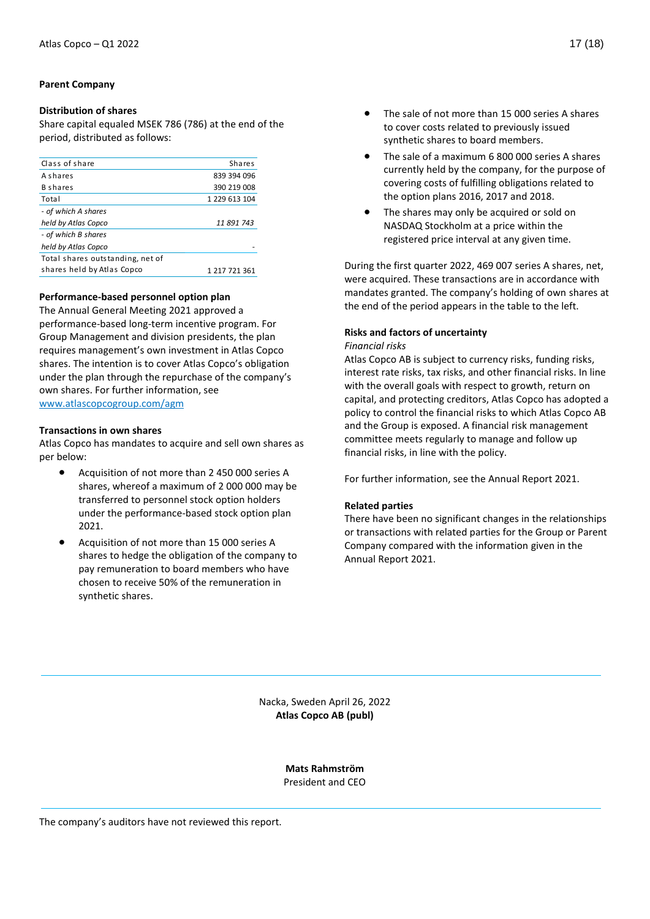## **Parent Company**

## **Distribution of shares**

Share capital equaled MSEK 786 (786) at the end of the period, distributed as follows:

| Class of share                   | <b>Shares</b> |
|----------------------------------|---------------|
| <b>A</b> shares                  | 839 394 096   |
| <b>B</b> shares                  | 390 219 008   |
| Total                            | 1 229 613 104 |
| - of which A shares              |               |
| held by Atlas Copco              | 11 891 743    |
| - of which B shares              |               |
| held by Atlas Copco              |               |
| Total shares outstanding, net of |               |
| shares held by Atlas Copco       | 1 217 721 361 |
|                                  |               |

## **Performance-based personnel option plan**

The Annual General Meeting 2021 approved a performance-based long-term incentive program. For Group Management and division presidents, the plan requires management's own investment in Atlas Copco shares. The intention is to cover Atlas Copco's obligation under the plan through the repurchase of the company's own shares. For further information, see [www.atlascopcogroup.com/agm](http://www.atlascopcogroup.com/agm) 

### **Transactions in own shares**

Atlas Copco has mandates to acquire and sell own shares as per below:

- Acquisition of not more than 2 450 000 series A shares, whereof a maximum of 2 000 000 may be transferred to personnel stock option holders under the performance-based stock option plan 2021.
- Acquisition of not more than 15 000 series A shares to hedge the obligation of the company to pay remuneration to board members who have chosen to receive 50% of the remuneration in synthetic shares.
- The sale of not more than 15 000 series A shares to cover costs related to previously issued synthetic shares to board members.
- The sale of a maximum 6 800 000 series A shares currently held by the company, for the purpose of covering costs of fulfilling obligations related to the option plans 2016, 2017 and 2018.
- The shares may only be acquired or sold on NASDAQ Stockholm at a price within the registered price interval at any given time.

During the first quarter 2022, 469 007 series A shares, net, were acquired. These transactions are in accordance with mandates granted. The company's holding of own shares at the end of the period appears in the table to the left.

## **Risks and factors of uncertainty**

### *Financial risks*

Atlas Copco AB is subject to currency risks, funding risks, interest rate risks, tax risks, and other financial risks. In line with the overall goals with respect to growth, return on capital, and protecting creditors, Atlas Copco has adopted a policy to control the financial risks to which Atlas Copco AB and the Group is exposed. A financial risk management committee meets regularly to manage and follow up financial risks, in line with the policy.

For further information, see the Annual Report 2021.

## **Related parties**

There have been no significant changes in the relationships or transactions with related parties for the Group or Parent Company compared with the information given in the Annual Report 2021.

Nacka, Sweden April 26, 2022 **Atlas Copco AB (publ)**

> **Mats Rahmström** President and CEO